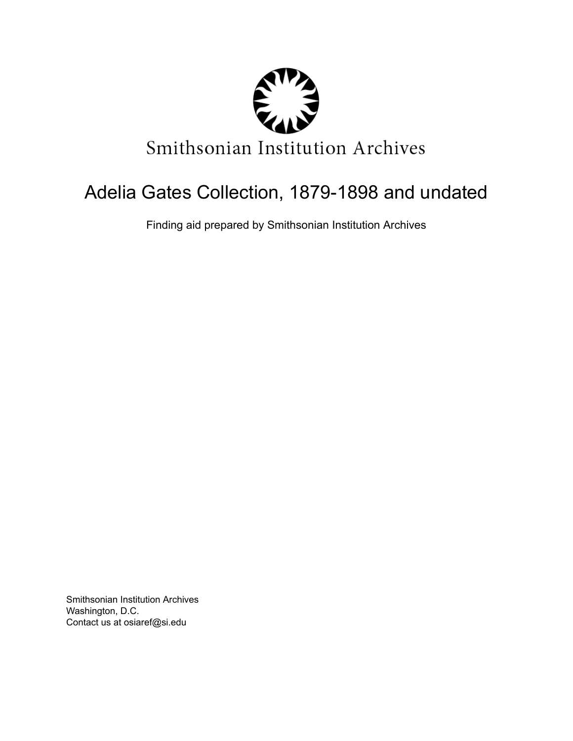

# Adelia Gates Collection, 1879-1898 and undated

Finding aid prepared by Smithsonian Institution Archives

Smithsonian Institution Archives Washington, D.C. Contact us at osiaref@si.edu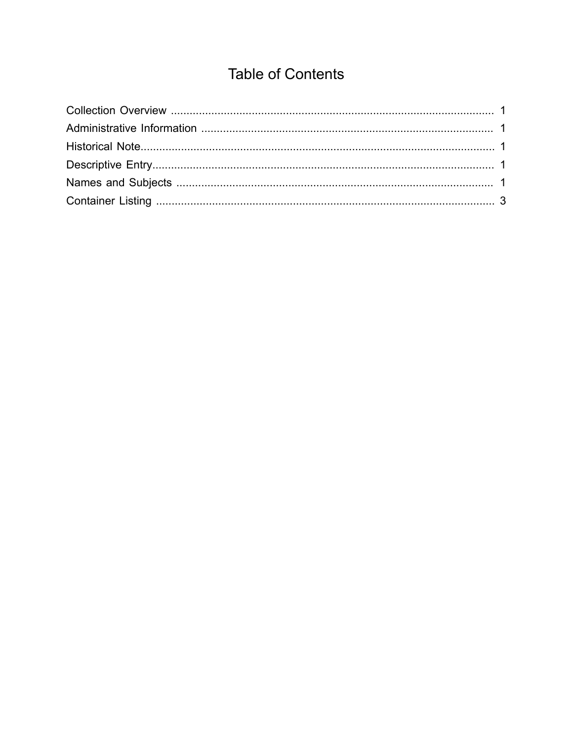## **Table of Contents**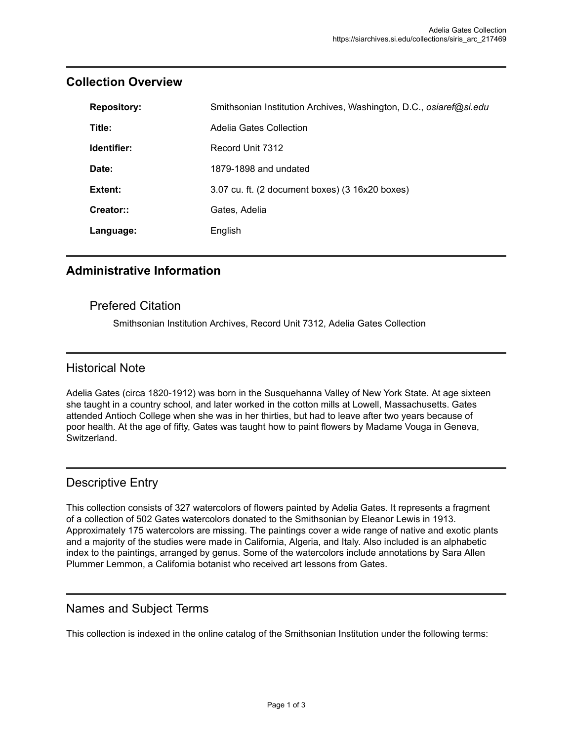| <b>Repository:</b> | Smithsonian Institution Archives, Washington, D.C., osiaref@si.edu |  |
|--------------------|--------------------------------------------------------------------|--|
| Title:             | Adelia Gates Collection                                            |  |
| Identifier:        | Record Unit 7312                                                   |  |
| Date:              | 1879-1898 and undated                                              |  |
| Extent:            | 3.07 cu. ft. (2 document boxes) (3 16x20 boxes)                    |  |
| Creator::          | Gates, Adelia                                                      |  |
| Language:          | English                                                            |  |

#### <span id="page-2-0"></span>**Collection Overview**

#### <span id="page-2-1"></span>**Administrative Information**

#### Prefered Citation

Smithsonian Institution Archives, Record Unit 7312, Adelia Gates Collection

#### <span id="page-2-2"></span>Historical Note

Adelia Gates (circa 1820-1912) was born in the Susquehanna Valley of New York State. At age sixteen she taught in a country school, and later worked in the cotton mills at Lowell, Massachusetts. Gates attended Antioch College when she was in her thirties, but had to leave after two years because of poor health. At the age of fifty, Gates was taught how to paint flowers by Madame Vouga in Geneva, Switzerland.

#### <span id="page-2-3"></span>Descriptive Entry

This collection consists of 327 watercolors of flowers painted by Adelia Gates. It represents a fragment of a collection of 502 Gates watercolors donated to the Smithsonian by Eleanor Lewis in 1913. Approximately 175 watercolors are missing. The paintings cover a wide range of native and exotic plants and a majority of the studies were made in California, Algeria, and Italy. Also included is an alphabetic index to the paintings, arranged by genus. Some of the watercolors include annotations by Sara Allen Plummer Lemmon, a California botanist who received art lessons from Gates.

#### <span id="page-2-4"></span>Names and Subject Terms

This collection is indexed in the online catalog of the Smithsonian Institution under the following terms: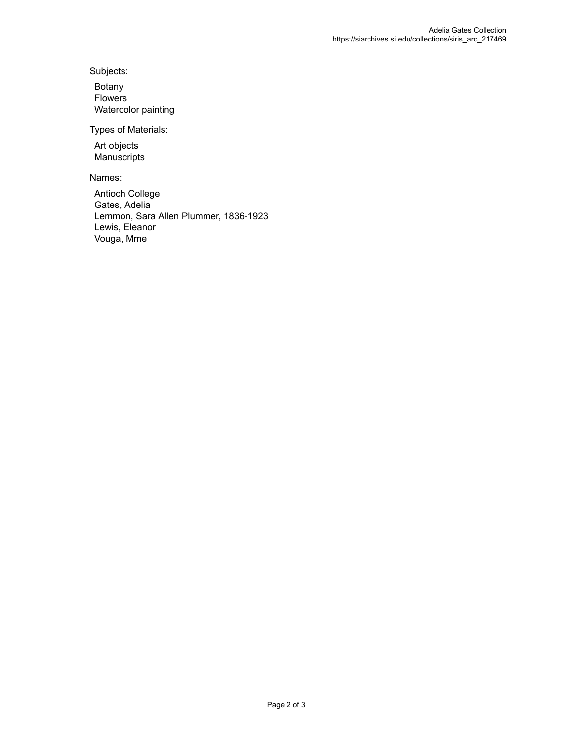Subjects:

Botany Flowers Watercolor painting

Types of Materials:

Art objects Manuscripts

Names:

Antioch College Gates, Adelia Lemmon, Sara Allen Plummer, 1836-1923 Lewis, Eleanor Vouga, Mme